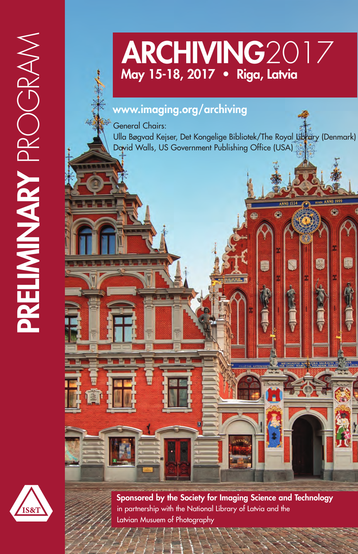# **ARCHIVING**2017 **May 15-18, 2017 • Riga, Latvia**

## **www.imaging.org/archiving**

General Chairs: Ulla Bøgvad Kejser, Det Kongelige Bibliotek/The Royal Library (Denmark) David Walls, US Government Publishing Office (USA)

G



**PRELIMINARY** PROGRAM

PRELIMINARY PROGRAM

**Sponsored by the Society for Imaging Science and Technology** in partnership with the National Library of Latvia and the Latvian Musuem of Photography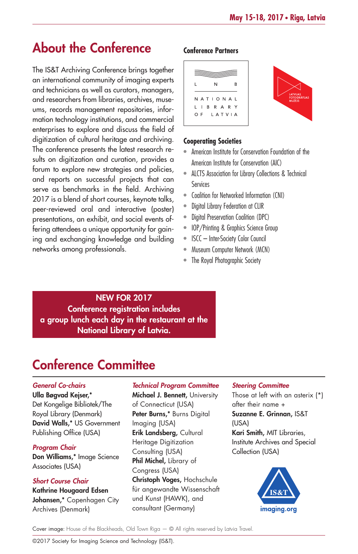# **About the Conference**

The IS&T Archiving Conference brings together an international community of imaging experts and technicians as well as curators, managers, and researchers from libraries, archives, museums, records management repositories, information technology institutions, and commercial enterprises to explore and discuss the field of digitization of cultural heritage and archiving. The conference presents the latest research results on digitization and curation, provides a forum to explore new strategies and policies, and reports on successful projects that can serve as benchmarks in the field. Archiving 2017 is a blend of short courses, keynote talks, peer-reviewed oral and interactive (poster) presentations, an exhibit, and social events offering attendees a unique opportunity for gaining and exchanging knowledge and building networks among professionals.

### **Conference Partners**

| N                                | R |               |
|----------------------------------|---|---------------|
| NATIONAL<br>L <b>I</b> B R A R Y |   | LA<br>FC<br>м |
| OF LATVIA                        |   |               |

### **Cooperating Societies**

- American Institute for Conservation Foundation of the American Institute for Conservation (AIC)
- ALCTS Association for Library Collections & Technical Services
- Coalition for Networked Information (CNI)
- Digital Library Federation at CLIR
- Digital Preservation Coalition (DPC)
- IOP/Printing & Graphics Science Group
- ISCC Inter-Society Color Council
- Museum Computer Network (MCN)
- The Royal Photographic Society

**NEW FOR 2017 Conference registration includes a group lunch each day in the restaurant at the National Library of Latvia.**

# **Conference Committee**

### *General Co-chairs*

**Ulla Bøgvad Kejser,\*** Det Kongelige Bibliotek/The Royal Library (Denmark) **David Walls,\*** US Government Publishing Office (USA)

### *Program Chair*

**Don Williams,\*** Image Science Associates (USA)

### *Short Course Chair*

**Kathrine Hougaard Edsen Johansen,\*** Copenhagen City Archives (Denmark)

### *Technical Program Committee*

**Michael J. Bennett,** University of Connecticut (USA) **Peter Burns,\*** Burns Digital Imaging (USA) **Erik Landsberg,** Cultural Heritage Digitization Consulting (USA) **Phil Michel,** Library of Congress (USA) **Christoph Voges,** Hochschule für angewandte Wissenschaft und Kunst (HAWK), and consultant (Germany)

#### *Steering Committee*

Those at left with an asterix (\*) after their name + **Suzanne E. Grinnan,** IS&T (USA) **Kari Smith,** MIT Libraries, Institute Archives and Special Collection (USA)



Cover image: House of the Blackheads, Old Town Riga — © All rights reserved by Latvia Travel.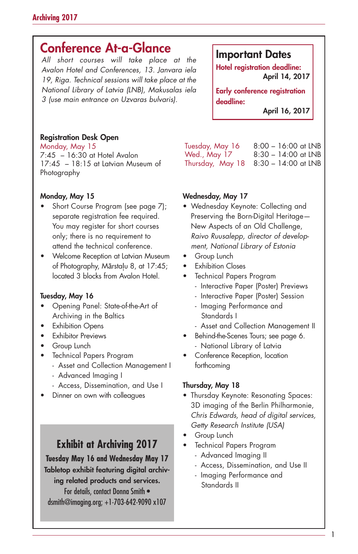# **Conference At-a-Glance**

*All short courses will take place at the Avalon Hotel and Conferences, 13. Janvara iela 19, Riga. Technical sessions will take place at the National Library of Latvia (LNB), Makusalas iela 3 (use main entrance on Uzvaras bulvaris).*

### **Registration Desk Open**

Monday, May 15 7:45 – 16:30 at Hotel Avalon 17:45 – 18:15 at Latvian Museum of Photography

### **Monday, May 15**

- Short Course Program (see page 7); separate registration fee required. You may register for short courses only; there is no requirement to attend the technical conference.
- Welcome Reception at Latvian Museum of Photography, Mārstaļu 8, at 17:45; located 3 blocks from Avalon Hotel.

### **Tuesday, May 16**

- Opening Panel: State-of-the-Art of Archiving in the Baltics
- Exhibition Opens
- Exhibitor Previews
- Group Lunch
- Technical Papers Program
	- Asset and Collection Management I
	- Advanced Imaging I
	- Access, Dissemination, and Use I
- Dinner on own with colleagues

### **Exhibit at Archiving 2017**

**Tuesday May 16 and Wednesday May 17 Tabletop exhibit featuring digital archiving related products and services.** For details, contact Donna Smith • dsmith@imaging.org; +1-703-642-9090 x107

### **Important Dates**

**Hotel registration deadline: April 14, 2017**

**Early conference registration deadline:**

**April 16, 2017**

Tuesday, May 16 8:00 – 16:00 at LNB Wed., May 17 8:30 – 14:00 at LNB Thursday, May 18 8:30 – 14:00 at LNB

### **Wednesday, May 17**

- Wednesday Keynote: Collecting and Preserving the Born-Digital Heritage— New Aspects of an Old Challenge, *Raivo Ruusalepp, director of development, National Library of Estonia*
- Group Lunch
- **Exhibition Closes**
- Technical Papers Program
	- Interactive Paper (Poster) Previews
	- Interactive Paper (Poster) Session
	- Imaging Performance and Standards I
	- Asset and Collection Management II
- Behind-the-Scenes Tours; see page 6. - National Library of Latvia
- Conference Reception, location forthcoming

### **Thursday, May 18**

- Thursday Keynote: Resonating Spaces: 3D imaging of the Berlin Philharmonie, *Chris Edwards, head of digital services, Getty Research Institute (USA)*
- Group Lunch
- Technical Papers Program
	- Advanced Imaging II
	- Access, Dissemination, and Use II
	- Imaging Performance and Standards II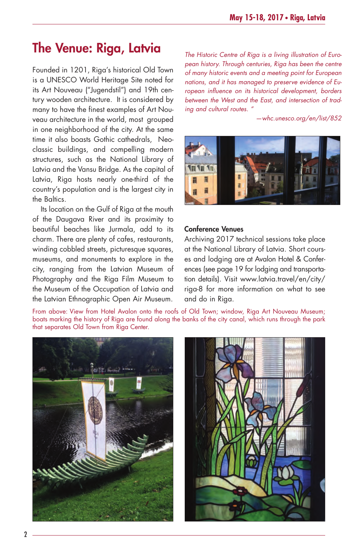# **The Venue: Riga, Latvia**

Founded in 1201, Riga's historical Old Town is a UNESCO World Heritage Site noted for its Art Nouveau ("Jugendstil") and 19th century wooden architecture. It is considered by many to have the finest examples of Art Nouveau architecture in the world, most grouped in one neighborhood of the city. At the same time it also boasts Gothic cathedrals, Neoclassic buildings, and compelling modern structures, such as the National Library of Latvia and the Vansu Bridge. As the capital of Latvia, Riga hosts nearly one-third of the country's population and is the largest city in the Baltics.

Its location on the Gulf of Riga at the mouth of the Daugava River and its proximity to beautiful beaches like Jurmala, add to its charm. There are plenty of cafes, restaurants, winding cobbled streets, picturesque squares, museums, and monuments to explore in the city, ranging from the Latvian Museum of Photography and the Riga Film Museum to the Museum of the Occupation of Latvia and the Latvian Ethnographic Open Air Museum. *The Historic Centre of Riga is a living illustration of European history. Through centuries, Riga has been the centre of many historic events and a meeting point for European nations, and it has managed to preserve evidence of European influence on its historical development, borders between the West and the East, and intersection of trading and cultural routes. "*

*—whc.unesco.org/en/list/852*



#### **Conference Venues**

Archiving 2017 technical sessions take place at the National Library of Latvia. Short courses and lodging are at Avalon Hotel & Conferences (see page 19 for lodging and transportation details). Visit www.latvia.travel/en/city/ riga-8 for more information on what to see and do in Riga.

From above: View from Hotel Avalon onto the roofs of Old Town; window, Riga Art Nouveau Museum; boats marking the history of Riga are found along the banks of the city canal, which runs through the park that separates Old Town from Riga Center.



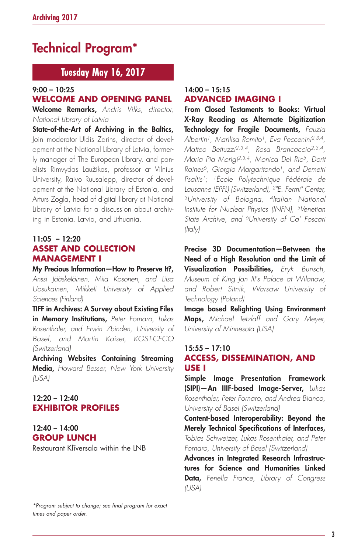# **Technical Program\***

### **Tuesday May 16, 2017**

### **9:00 – 10:25**

### **WELCOME AND OPENING PANEL**

**Welcome Remarks,** *Andris Vilks, director, National Library of Latvia*

**State-of-the-Art of Archiving in the Baltics,** Join moderator Uldis Zarins, director of development at the National Library of Latvia, formerly manager of The European Library, and panelists Rimvydas Laužikas, professor at Vilnius University, Raivo Ruusalepp, director of development at the National Library of Estonia, and Arturs Zogla, head of digital library at National Library of Latvia for a discussion about archiving in Estonia, Latvia, and Lithuania.

### **11:05 – 12:20 ASSET AND COLLECTION MANAGEMENT I**

**My Precious Information—How to Preserve It?,** *Anssi Jääskeläinen, Miia Kosonen, and Liisa Uosukainen, Mikkeli University of Applied Sciences (Finland)*

**TIFF in Archives: A Survey about Existing Files in Memory Institutions,** *Peter Fornaro, Lukas Rosenthaler, and Erwin Zbinden, University of Basel, and Martin Kaiser, KOST-CECO (Switzerland)*

**Archiving Websites Containing Streaming Media,** *Howard Besser, New York University (USA)*

### **12:20 – 12:40 EXHIBITOR PROFILES**

### **12:40 – 14:00 GROUP LUNCH**

Restaurant Klīversala within the LNB

#### *\*Program subject to change; see final program for exact times and paper order.*

### **14:00 – 15:15 ADVANCED IMAGING I**

**From Closed Testaments to Books: Virtual X-Ray Reading as Alternate Digitization Technology for Fragile Documents,** *Fauzia Albertin1, Marilisa Romito1, Eva Peccenini2,3,4, Matteo Bettuzzi2,3,4, Rosa Brancaccio2,3,4, Maria Pia Morigi2,3,4, Monica Del Rio5, Dorit Raines6, Giorgio Margaritondo1, and Demetri Psaltis1; 1École Polytechnique Fédérale de Lausanne (EPFL) (Switzerland), 2"E. Fermi" Center, 3University of Bologna, 4Italian National Institute for Nuclear Physics (INFN), 5Venetian State Archive, and 6University of Ca' Foscari (Italy)*

**Precise 3D Documentation—Between the Need of a High Resolution and the Limit of Visualization Possibilities,** *Eryk Bunsch, Museum of King Jan III's Palace at Wilanow, and Robert Sitnik, Warsaw University of Technology (Poland)*

**Image based Relighting Using Environment Maps,** *Michael Tetzlaff and Gary Meyer, University of Minnesota (USA)*

### **15:55 – 17:10 ACCESS, DISSEMINATION, AND USE I**

**Simple Image Presentation Framework (SIPI)—An IIIF-based Image-Server,** *Lukas Rosenthaler, Peter Fornaro, and Andrea Bianco, University of Basel (Switzerland)*

**Content-based Interoperability: Beyond the Merely Technical Specifications of Interfaces,** *Tobias Schweizer, Lukas Rosenthaler, and Peter Fornaro, University of Basel (Switzerland)*

**Advances in Integrated Research Infrastructures for Science and Humanities Linked Data,** *Fenella France, Library of Congress (USA)*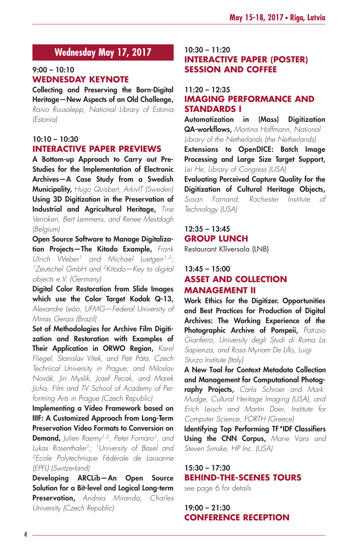### **Wednesday May 17, 2017**

### **9:00 – 10:10 WEDNESDAY KEYNOTE**

**Collecting and Preserving the Born-Digital Heritage—New Aspects of an Old Challenge,** *Raivo Ruusalepp, National Library of Estonia (Estonia)*

### **10:10 – 10:30 INTERACTIVE PAPER PREVIEWS**

**A Bottom-up Approach to Carry out Pre-Studies for the Implementation of Electronic Archives—A Case Study from a Swedish Municipality,** *Hugo Quisbert, ArkivIT (Sweden)* **Using 3D Digitization in the Preservation of Industrial and Agricultural Heritage,** *Tine Verroken, Bert Lemmens, and Renee Mestdagh (Belgium)*

**Open Source Software to Manage Digitalization Projects—The Kitodo Example,** *Frank Ulrich Weber1 and Michael Luetgen1,2; 1Zeutschel GmbH and 2Kitodo—Key to digital objects e.V. (Germany)*

**Digital Color Restoration from Slide Images which use the Color Target Kodak Q-13,** *Alexandre Leão, UFMG—Federal University of Minas Gerais (Brazil)*

**Set of Methodologies for Archive Film Digitization and Restoration with Examples of Their Application in ORWO Region,** *Karel Fliegel, Stanislav Vítek, and Petr Páta, Czech Technical University in Prague; and Miloslav Novák, Jiri Myslik, Josef Pecak, and Marek Jicha, Film and TV School of Academy of Performing Arts in Prague (Czech Republic)*

**Implementing a Video Framework based on IIIF: A Customized Approach from Long-Term Preservation Video Formats to Conversion on Demand,** *Julien Raemy1,2, Peter Fornaro1, and Lukas Rosenthaler1; 1University of Basel and 2Ecole Polytechnique Fédérale de Lausanne (EPFL) (Switzerland)*

**Developing ARCLib—An Open Source Solution for a Bit-level and Logical Long-term Preservation,** *Andrea Miranda, Charles University (Czech Republic)*

### **10:30 – 11:20 INTERACTIVE PAPER (POSTER) SESSION AND COFFEE**

### **11:20 – 12:35 IMAGING PERFORMANCE AND STANDARDS I**

**Automatization in (Mass) Digitization QA-workflows,** *Martina Hoffmann, National Library of the Netherlands (the Netherlands)*

**Extensions to OpenDICE: Batch Image Processing and Large Size Target Support,** *Lei He, Library of Congress (USA)*

**Evaluating Perceived Capture Quality for the Digitization of Cultural Heritage Objects,** *Susan Farnand, Rochester Institute of Technology (USA)*

### **12:35 – 13:45 GROUP LUNCH**

Restaurant Klīversala (LNB)

### **13:45 – 15:00 ASSET AND COLLECTION MANAGEMENT II**

**Work Ethics for the Digitizer. Opportunities and Best Practices for Production of Digital Archives: The Working Experience of the Photographic Archive of Pompeii,** *Patrizio Gianferro, University degli Studi di Roma La Sapienza, and Rosa Myriam De Lillo, Luigi Sturzo Institute (Italy)*

**A New Tool for Context Metadata Collection and Management for Computational Photography Projects,** *Carla Schroer and Mark Mudge, Cultural Heritage Imaging (USA), and Erich Leisch and Martin Doer, Institute for Computer Science, FORTH (Greece)*

**Identifying Top Performing TF\*IDF Classifiers Using the CNN Corpus,** *Marie Vans and Steven Simske, HP Inc. (USA)*

### **15:30 – 17:30 BEHIND-THE-SCENES TOURS**

see page 6 for details

**19:00 – 21:30 CONFERENCE RECEPTION**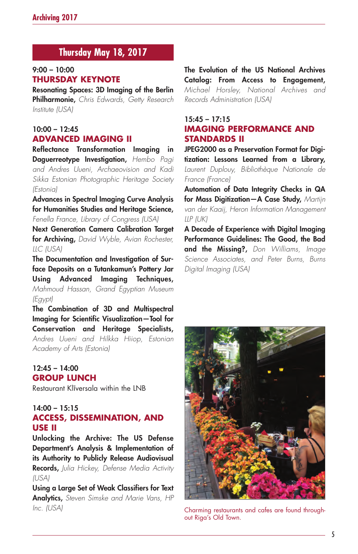### **Thursday May 18, 2017**

### **9:00 – 10:00 THURSDAY KEYNOTE**

**Resonating Spaces: 3D Imaging of the Berlin Philharmonie,** *Chris Edwards, Getty Research Institute (USA)*

### **10:00 – 12:45 ADVANCED IMAGING II**

**Reflectance Transformation Imaging in Daguerreotype Investigation,** *Hembo Pagi and Andres Uueni, Archaeovision and Kadi Sikka Estonian Photographic Heritage Society (Estonia)*

**Advances in Spectral Imaging Curve Analysis for Humanities Studies and Heritage Science,** *Fenella France, Library of Congress (USA)*

**Next Generation Camera Calibration Target for Archiving,** *David Wyble, Avian Rochester, LLC (USA)*

**The Documentation and Investigation of Surface Deposits on a Tutankamun's Pottery Jar Using Advanced Imaging Techniques,** *Mahmoud Hassan, Grand Egyptian Museum (Egypt)*

**The Combination of 3D and Multispectral Imaging for Scientific Visualization—Tool for Conservation and Heritage Specialists,** *Andres Uueni and Hilkka Hiiop, Estonian Academy of Arts (Estonia)*

### **12:45 – 14:00 GROUP LUNCH**

Restaurant Klīversala within the LNB

### **14:00 – 15:15 ACCESS, DISSEMINATION, AND USE II**

**Unlocking the Archive: The US Defense Department's Analysis & Implementation of its Authority to Publicly Release Audiovisual Records,** *Julia Hickey, Defense Media Activity (USA)*

**Using a Large Set of Weak Classifiers for Text Analytics,** *Steven Simske and Marie Vans, HP Inc. (USA)*

**The Evolution of the US National Archives Catalog: From Access to Engagement,** *Michael Horsley, National Archives and Records Administration (USA)*

### **15:45 – 17:15 IMAGING PERFORMANCE AND STANDARDS II**

**JPEG2000 as a Preservation Format for Digitization: Lessons Learned from a Library,** *Laurent Duplouy, Bibliothèque Nationale de France (France)*

**Automation of Data Integrity Checks in QA for Mass Digitization—A Case Study,** *Martijn van der Kaaij, Heron Information Management LLP (UK)*

**A Decade of Experience with Digital Imaging Performance Guidelines: The Good, the Bad and the Missing?,** *Don Williams, Image Science Associates, and Peter Burns, Burns Digital Imaging (USA)*



Charming restaurants and cafes are found throughout Riga's Old Town.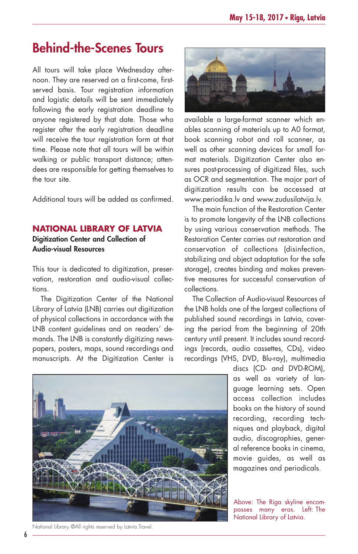# **Behind-the-Scenes Tours**

All tours will take place Wednesday afternoon. They are reserved on a first-come, firstserved basis. Tour registration information and logistic details will be sent immediately following the early registration deadline to anyone registered by that date. Those who register after the early registration deadline will receive the tour registration form at that time. Please note that all tours will be within walking or public transport distance; attendees are responsible for getting themselves to the tour site.

Additional tours will be added as confirmed.

### **NATIONAL LIBRARY OF LATVIA**

**Digitization Center and Collection of Audio-visual Resources**

This tour is dedicated to digitization, preservation, restoration and audio-visual collections.

The Digitization Center of the National Library of Latvia (LNB) carries out digitization of physical collections in accordance with the LNB content guidelines and on readers' demands. The LNB is constantly digitizing newspapers, posters, maps, sound recordings and manuscripts. At the Digitization Center is



available a large-format scanner which enables scanning of materials up to A0 format, book scanning robot and roll scanner, as well as other scanning devices for small format materials. Digitization Center also ensures post-processing of digitized files, such as OCR and segmentation. The major part of digitization results can be accessed at www.periodika.lv and www.zudusilatvija.lv.

The main function of the Restoration Center is to promote longevity of the LNB collections by using various conservation methods. The Restoration Center carries out restoration and conservation of collections (disinfection, stabilizing and object adaptation for the safe storage), creates binding and makes preventive measures for successful conservation of collections.

The Collection of Audio-visual Resources of the LNB holds one of the largest collections of published sound recordings in Latvia, covering the period from the beginning of 20th century until present. It includes sound recordings (records, audio cassettes, CDs), video recordings (VHS, DVD, Blu-ray), multimedia

> discs (CD- and DVD-ROM), as well as variety of language learning sets. Open access collection includes books on the history of sound recording, recording techniques and playback, digital audio, discographies, general reference books in cinema, movie guides, as well as magazines and periodicals.

Above: The Riga skyline encompasses many eras. Left: The National Library of Latvia.



National Library ©All rights reserved by Latvia.Travel.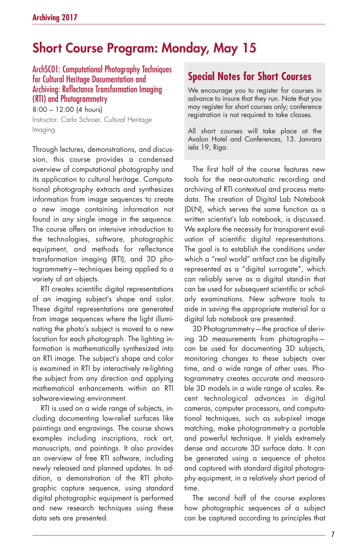# **Short Course Program: Monday, May 15**

### ArchSC01: Computational Photography Techniques for Cultural Heritage Documentation and Archiving: Reflectance Transformation Imaging (RTI) and Photogrammetry

8:00 – 12:00 (4 hours) Instructor: Carla Schroer, Cultural Heritage Imaging

Through lectures, demonstrations, and discussion, this course provides a condensed overview of computational photography and its application to cultural heritage. Computational photography extracts and synthesizes information from image sequences to create a new image containing information not found in any single image in the sequence. The course offers an intensive introduction to the technologies, software, photographic equipment, and methods for reflectance transformation imaging (RTI), and 3D photogrammetry—techniques being applied to a variety of art objects.

RTI creates scientific digital representations of an imaging subject's shape and color. These digital representations are generated from image sequences where the light illuminating the photo's subject is moved to a new location for each photograph. The lighting information is mathematically synthesized into an RTI image. The subject's shape and color is examined in RTI by interactively re-lighting the subject from any direction and applying mathematical enhancements within an RTI software-viewing environment.

RTI is used on a wide range of subjects, including documenting low-relief surfaces like paintings and engravings. The course shows examples including inscriptions, rock art, manuscripts, and paintings. It also provides an overview of free RTI software, including newly released and planned updates. In addition, a demonstration of the RTI photographic capture sequence, using standard digital photographic equipment is performed and new research techniques using these data sets are presented.

### **Special Notes for Short Courses**

We encourage you to register for courses in advance to insure that they run. Note that you may register for short courses only; conference registration is not required to take classes.

All short courses will take place at the Avalon Hotel and Conferences, 13. Janvara iela 19, Riga.

The first half of the course features new tools for the near-automatic recording and archiving of RTI contextual and process metadata. The creation of Digital Lab Notebook (DLN), which serves the same function as a written scientist's lab notebook, is discussed. We explore the necessity for transparent evaluation of scientific digital representations. The goal is to establish the conditions under which a "real world" artifact can be digitally represented as a "digital surrogate", which can reliably serve as a digital stand-in that can be used for subsequent scientific or scholarly examinations. New software tools to aide in saving the appropriate material for a digital lab notebook are presented.

3D Photogrammetry—the practice of deriving 3D measurements from photographs can be used for documenting 3D subjects, monitoring changes to these subjects over time, and a wide range of other uses. Photogrammetry creates accurate and measurable 3D models in a wide range of scales. Recent technological advances in digital cameras, computer processors, and computational techniques, such as sub-pixel image matching, make photogrammetry a portable and powerful technique. It yields extremely dense and accurate 3D surface data. It can be generated using a sequence of photos and captured with standard digital photography equipment, in a relatively short period of time.

The second half of the course explores how photographic sequences of a subject can be captured according to principles that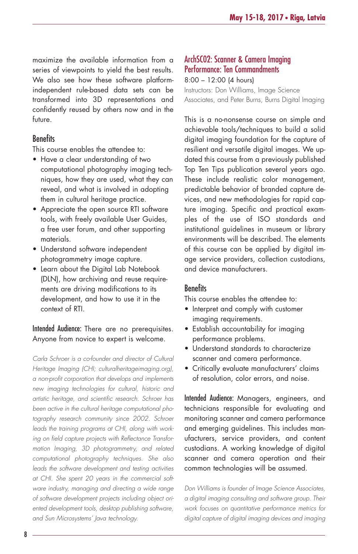maximize the available information from a series of viewpoints to yield the best results. We also see how these software platformindependent rule-based data sets can be transformed into 3D representations and confidently reused by others now and in the future.

### **Benefits**

This course enables the attendee to:

- Have a clear understanding of two computational photography imaging techniques, how they are used, what they can reveal, and what is involved in adopting them in cultural heritage practice.
- Appreciate the open source RTI software tools, with freely available User Guides, a free user forum, and other supporting materials.
- Understand software independent photogrammetry image capture.
- Learn about the Digital Lab Notebook (DLN), how archiving and reuse requirements are driving modifications to its development, and how to use it in the context of RTI.

### Intended Audience: There are no prerequisites. Anyone from novice to expert is welcome.

*Carla Schroer is a co-founder and director of Cultural Heritage Imaging (CHI; culturalheritageimaging.org), a non-profit corporation that develops and implements new imaging technologies for cultural, historic and artistic heritage, and scientific research. Schroer has been active in the cultural heritage computational photography research community since 2002. Schroer leads the training programs at CHI, along with working on field capture projects with Reflectance Transformation Imaging, 3D photogrammetry, and related computational photography techniques. She also leads the software development and testing activities at CHI. She spent 20 years in the commercial software industry, managing and directing a wide range of software development projects including object oriented development tools, desktop publishing software, and Sun Microsystems' Java technology.*

### ArchSC02: Scanner & Camera Imaging Performance: Ten Commandments

8:00 – 12:00 (4 hours) Instructors: Don Williams, Image Science Associates, and Peter Burns, Burns Digital Imaging

This is a no-nonsense course on simple and achievable tools/techniques to build a solid digital imaging foundation for the capture of resilient and versatile digital images. We updated this course from a previously published Top Ten Tips publication several years ago. These include realistic color management, predictable behavior of branded capture devices, and new methodologies for rapid capture imaging. Specific and practical examples of the use of ISO standards and institutional guidelines in museum or library environments will be described. The elements of this course can be applied by digital image service providers, collection custodians, and device manufacturers.

### Benefits

This course enables the attendee to:

- Interpret and comply with customer imaging requirements.
- Establish accountability for imaging performance problems.
- Understand standards to characterize scanner and camera performance.
- Critically evaluate manufacturers' claims of resolution, color errors, and noise.

Intended Audience: Managers, engineers, and technicians responsible for evaluating and monitoring scanner and camera performance and emerging guidelines. This includes manufacturers, service providers, and content custodians. A working knowledge of digital scanner and camera operation and their common technologies will be assumed.

*Don Williams is founder of Image Science Associates, a digital imaging consulting and software group. Their work focuses on quantitative performance metrics for digital capture of digital imaging devices and imaging*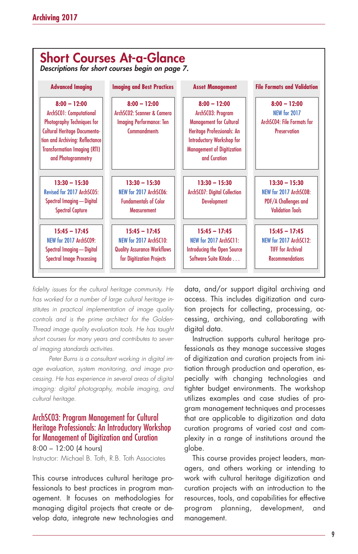

*fidelity issues for the cultural heritage community. He has worked for a number of large cultural heritage institutes in practical implementation of image quality controls and is the prime architect for the Golden-Thread image quality evaluation tools. He has taught short courses for many years and contributes to several imaging standards activities.*

*Peter Burns is a consultant working in digital image evaluation, system monitoring, and image processing. He has experience in several areas of digital imaging: digital photography, mobile imaging, and cultural heritage.*

### ArchSC03: Program Management for Cultural Heritage Professionals: An Introductory Workshop for Management of Digitization and Curation

8:00 – 12:00 (4 hours) Instructor: Michael B. Toth, R.B. Toth Associates

This course introduces cultural heritage professionals to best practices in program management. It focuses on methodologies for managing digital projects that create or develop data, integrate new technologies and data, and/or support digital archiving and access. This includes digitization and curation projects for collecting, processing, accessing, archiving, and collaborating with digital data.

Instruction supports cultural heritage professionals as they manage successive stages of digitization and curation projects from initiation through production and operation, especially with changing technologies and tighter budget environments. The workshop utilizes examples and case studies of program management techniques and processes that are applicable to digitization and data curation programs of varied cost and complexity in a range of institutions around the globe.

This course provides project leaders, managers, and others working or intending to work with cultural heritage digitization and curation projects with an introduction to the resources, tools, and capabilities for effective program planning, development, and management.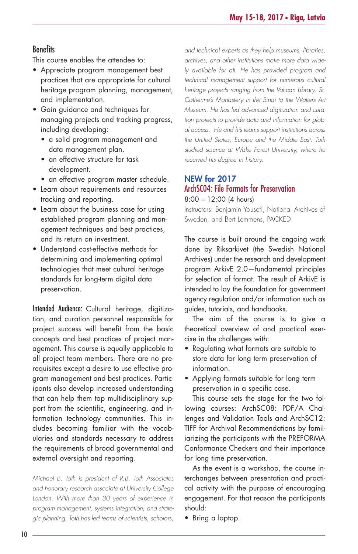### **Benefits**

This course enables the attendee to:

- Appreciate program management best practices that are appropriate for cultural heritage program planning, management, and implementation.
- Gain guidance and techniques for managing projects and tracking progress, including developing:
	- a solid program management and data management plan.
	- an effective structure for task development.
	- an effective program master schedule.
- Learn about requirements and resources tracking and reporting.
- Learn about the business case for using established program planning and management techniques and best practices, and its return on investment.
- Understand cost-effective methods for determining and implementing optimal technologies that meet cultural heritage standards for long-term digital data preservation.

Intended Audience: Cultural heritage, digitization, and curation personnel responsible for project success will benefit from the basic concepts and best practices of project management. This course is equally applicable to all project team members. There are no prerequisites except a desire to use effective program management and best practices. Participants also develop increased understanding that can help them tap multidisciplinary support from the scientific, engineering, and information technology communities. This includes becoming familiar with the vocabularies and standards necessary to address the requirements of broad governmental and external oversight and reporting.

*Michael B. Toth is president of R.B. Toth Associates and honorary research associate at University College London. With more than 30 years of experience in program management, systems integration, and strategic planning, Toth has led teams of scientists, scholars,* *and technical experts as they help museums, libraries, archives, and other institutions make more data widely available for all. He has provided program and technical management support for numerous cultural heritage projects ranging from the Vatican Library, St. Catherine's Monastery in the Sinai to the Walters Art Museum. He has led advanced digitization and curation projects to provide data and information for global access. He and his teams support institutions across the United States, Europe and the Middle East. Toth studied science at Wake Forest University, where he received his degree in history.*

### **NEW for 2017** ArchSC04: File Formats for Preservation

8:00 – 12:00 (4 hours)

Instructors: Benjamin Yousefi, National Archives of Sweden, and Bert Lemmens, PACKED

The course is built around the ongoing work done by Riksarkivet (the Swedish National Archives) under the research and development program ArkivE 2.0—fundamental principles for selection of format. The result of ArkivE is intended to lay the foundation for government agency regulation and/or information such as guides, tutorials, and handbooks.

The aim of the course is to give a theoretical overview of and practical exercise in the challenges with:

- Regulating what formats are suitable to store data for long term preservation of information.
- Applying formats suitable for long term preservation in a specific case.

This course sets the stage for the two following courses: ArchSC08: PDF/A Challenges and Validation Tools and ArchSC12: TIFF for Archival Recommendations by familiarizing the participants with the PREFORMA Conformance Checkers and their importance for long time preservation.

As the event is a workshop, the course interchanges between presentation and practical activity with the purpose of encouraging engagement. For that reason the participants should:

• Bring a laptop.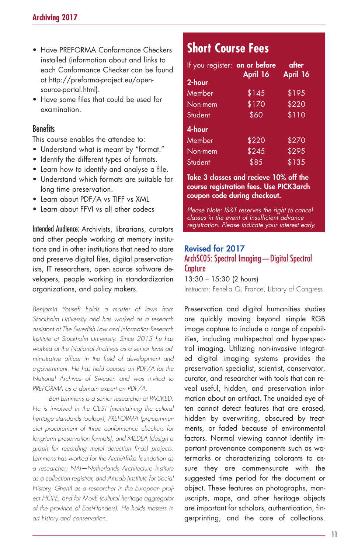- Have PREFORMA Conformance Checkers installed (information about and links to each Conformance Checker can be found at http://preforma-project.eu/opensource-portal.html).
- Have some files that could be used for examination.

### **Benefits**

This course enables the attendee to:

- Understand what is meant by "format."
- Identify the different types of formats.
- Learn how to identify and analyse a file.
- Understand which formats are suitable for long time preservation.
- Learn about PDF/A vs TIFF vs XML
- Learn about FFVI vs all other codecs

Intended Audience: Archivists, librarians, curators and other people working at memory institutions and in other institutions that need to store and preserve digital files, digital preservationists, IT researchers, open source software developers, people working in standardization organizations, and policy makers.

*Benjamin Yousefi holds a master of laws from Stockholm University and has worked as a research assistant at The Swedish Law and Informatics Research Institute at Stockholm University. Since 2013 he has worked at the National Archives as a senior level administrative officer in the field of development and e-government. He has held courses on PDF/A for the National Archives of Sweden and was invited to PREFORMA as a domain expert on PDF/A.*

*Bert Lemmens is a senior researcher at PACKED. He is involved in the CEST (maintaining the cultural heritage standards toolbox), PREFORMA (pre-commercial procurement of three conformance checkers for long-term preservation formats), and MEDEA (design a graph for recording metal detection finds) projects. Lemmens has worked for the ArchiAfrika foundation as a researcher, NAI—Netherlands Architecture Institute as a collection registrar, and Amsab (Institute for Social History, Ghent) as a researcher in the European project HOPE, and for MovE (cultural heritage aggregator of the province of East-Flanders). He holds masters in art history and conservation.*

### **Short Course Fees**

| If you register: on or before | April 16 | after<br>April 16 |
|-------------------------------|----------|-------------------|
| 2-hour                        |          |                   |
| Member                        | \$145    | \$195             |
| Non-mem                       | \$170    | \$220             |
| Student                       | \$60     | \$110             |
| $4$ -hour                     |          |                   |
| Member                        | \$220    | \$270             |
| Non-mem                       | \$245    | \$295             |
| Student                       | \$85     | \$135             |

#### **Take 3 classes and recieve 10% off the course registration fees. Use PICK3arch coupon code during checkout.**

*Please Note: IS&T reserves the right to cancel classes in the event of insufficient advance registration. Please indicate your interest early.*

### **Revised for 2017** ArchSC05: Spectral Imaging—Digital Spectral **Capture**

13:30 – 15:30 (2 hours) Instructor: Fenella G. France, Library of Congress

Preservation and digital humanities studies are quickly moving beyond simple RGB image capture to include a range of capabilities, including multispectral and hyperspectral imaging. Utilizing non-invasive integrated digital imaging systems provides the preservation specialist, scientist, conservator, curator, and researcher with tools that can reveal useful, hidden, and preservation information about an artifact. The unaided eye often cannot detect features that are erased, hidden by overwriting, obscured by treatments, or faded because of environmental factors. Normal viewing cannot identify important provenance components such as watermarks or characterizing colorants to assure they are commensurate with the suggested time period for the document or object. These features on photographs, manuscripts, maps, and other heritage objects are important for scholars, authentication, fingerprinting, and the care of collections.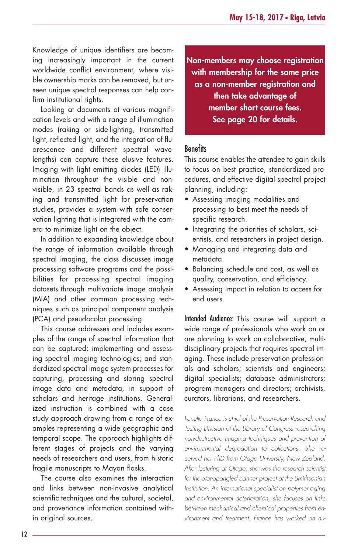Knowledge of unique identifiers are becoming increasingly important in the current worldwide conflict environment, where visible ownership marks can be removed, but unseen unique spectral responses can help confirm institutional rights.

Looking at documents at various magnification levels and with a range of illumination modes (raking or side-lighting, transmitted light, reflected light, and the integration of fluorescence and different spectral wavelengths) can capture these elusive features. Imaging with light emitting diodes (LED) illumination throughout the visible and nonvisible, in 23 spectral bands as well as raking and transmitted light for preservation studies, provides a system with safe conservation lighting that is integrated with the camera to minimize light on the object.

In addition to expanding knowledge about the range of information available through spectral imaging, the class discusses image processing software programs and the possibilities for processing spectral imaging datasets through multivariate image analysis (MIA) and other common processing techniques such as principal component analysis (PCA) and pseudocolor processing.

This course addresses and includes examples of the range of spectral information that can be captured; implementing and assessing spectral imaging technologies; and standardized spectral image system processes for capturing, processing and storing spectral image data and metadata, in support of scholars and heritage institutions. Generalized instruction is combined with a case study approach drawing from a range of examples representing a wide geographic and temporal scope. The approach highlights different stages of projects and the varying needs of researchers and users, from historic fragile manuscripts to Mayan flasks.

The course also examines the interaction and links between non-invasive analytical scientific techniques and the cultural, societal, and provenance information contained within original sources.

**Non-members may choose registration with membership for the same price as a non-member registration and then take advantage of member short course fees. See page 20 for details.**

### **Benefits**

This course enables the attendee to gain skills to focus on best practice, standardized procedures, and effective digital spectral project planning, including:

- Assessing imaging modalities and processing to best meet the needs of specific research.
- Integrating the priorities of scholars, scientists, and researchers in project design.
- Managing and integrating data and metadata.
- Balancing schedule and cost, as well as quality, conservation, and efficiency.
- Assessing impact in relation to access for end users.

Intended Audience: This course will support a wide range of professionals who work on or are planning to work on collaborative, multidisciplinary projects that requires spectral imaging. These include preservation professionals and scholars; scientists and engineers; digital specialists; database administrators; program managers and directors; archivists, curators, librarians, and researchers.

*Fenella France is chief of the Preservation Research and Testing Division at the Library of Congress researching non-destructive imaging techniques and prevention of environmental degradation to collections. She received her PhD from Otago University, New Zealand. After lecturing at Otago, she was the research scientist for the Star-Spangled Banner project at the Smithsonian Institution. An international specialist on polymer aging and environmental deterioration, she focuses on links between mechanical and chemical properties from environment and treatment. France has worked on nu-*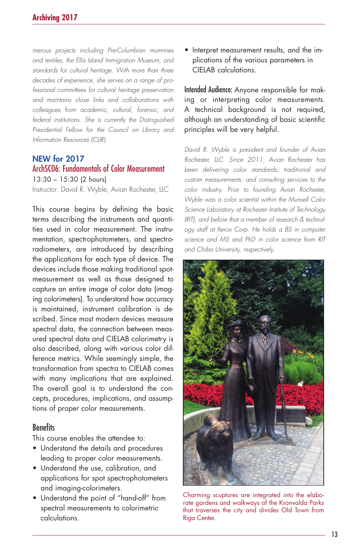*merous projects including Pre-Columbian mummies and textiles, the Ellis Island Immigration Museum, and standards for cultural heritage. With more than three decades of experience, she serves on a range of professional committees for cultural heritage preservation and maintains close links and collaborations with colleagues from academic, cultural, forensic, and federal institutions. She is currently the Distinguished Presidential Fellow for the Council on Library and Information Resources (CLIR).*

#### **NEW for 2017** ArchSC06: Fundamentals of Color Measurement

13:30 – 15:30 (2 hours)

Instructor: David R. Wyble, Avian Rochester, LLC

This course begins by defining the basic terms describing the instruments and quantities used in color measurement. The instrumentation, spectrophotometers, and spectroradiometers, are introduced by describing the applications for each type of device. The devices include those making traditional spotmeasurement as well as those designed to capture an entire image of color data (imaging colorimeters). To understand how accuracy is maintained, instrument calibration is described. Since most modern devices measure spectral data, the connection between measured spectral data and CIELAB colorimetry is also described, along with various color difference metrics. While seemingly simple, the transformation from spectra to CIELAB comes with many implications that are explained. The overall goal is to understand the concepts, procedures, implications, and assumptions of proper color measurements.

### **Benefits**

This course enables the attendee to:

- Understand the details and procedures leading to proper color measurements.
- Understand the use, calibration, and applications for spot spectrophotometers and imaging-colorimeters.
- Understand the point of "hand-off" from spectral measurements to colorimetric calculations.

• Interpret measurement results, and the implications of the various parameters in CIELAB calculations.

Intended Audience: Anyone responsible for making or interpreting color measurements. A technical background is not required, although an understanding of basic scientific principles will be very helpful.

*David R. Wyble is president and founder of Avian Rochester, LLC. Since 2011, Avian Rochester has been delivering color standards; traditional and custom measurements; and consulting services to the color industry. Prior to founding Avian Rochester, Wyble was a color scientist within the Munsell Color Science Laboratory at Rochester Institute of Technology (RIT), and before that a member of research & technology staff at Xerox Corp. He holds a BS in computer science and MS and PhD in color science from RIT and Chiba University, respectively.*



Charming scuptures are integrated into the elaborate gardens and walkways of the Kronvalda Parks that traverses the city and divides Old Town from Riga Center.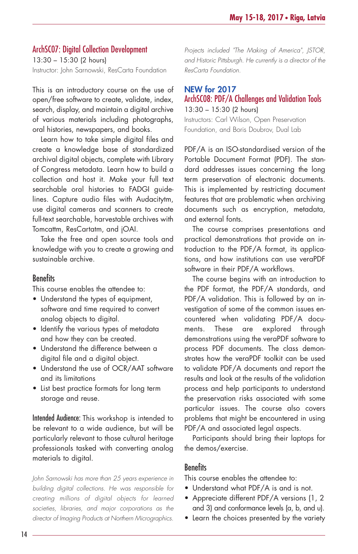### ArchSC07: Digital Collection Development

13:30 – 15:30 (2 hours) Instructor: John Sarnowski, ResCarta Foundation

This is an introductory course on the use of open/free software to create, validate, index, search, display, and maintain a digital archive of various materials including photographs, oral histories, newspapers, and books.

Learn how to take simple digital files and create a knowledge base of standardized archival digital objects, complete with Library of Congress metadata. Learn how to build a collection and host it. Make your full text searchable oral histories to FADGI guidelines. Capture audio files with Audacitytm, use digital cameras and scanners to create full-text searchable, harvestable archives with Tomcattm, ResCartatm, and jOAI.

Take the free and open source tools and knowledge with you to create a growing and sustainable archive.

### **Benefits**

This course enables the attendee to:

- Understand the types of equipment, software and time required to convert analog objects to digital.
- Identify the various types of metadata and how they can be created.
- Understand the difference between a digital file and a digital object.
- Understand the use of OCR/AAT software and its limitations
- List best practice formats for long term storage and reuse.

Intended Audience: This workshop is intended to be relevant to a wide audience, but will be particularly relevant to those cultural heritage professionals tasked with converting analog materials to digital.

*John Sarnowski has more than 25 years experience in building digital collections. He was responsible for creating millions of digital objects for learned societies, libraries, and major corporations as the director of Imaging Products at Northern Micrographics.* *Projects included "The Making of America", JSTOR, and Historic Pittsburgh. He currently is a director of the ResCarta Foundation.*

### **NEW for 2017** ArchSC08: PDF/A Challenges and Validation Tools 13:30 – 15:30 (2 hours)

Instructors: Carl Wilson, Open Preservation Foundation, and Boris Doubrov, Dual Lab

PDF/A is an ISO-standardised version of the Portable Document Format (PDF). The standard addresses issues concerning the long term preservation of electronic documents. This is implemented by restricting document features that are problematic when archiving documents such as encryption, metadata, and external fonts.

The course comprises presentations and practical demonstrations that provide an introduction to the PDF/A format, its applications, and how institutions can use veraPDF software in their PDF/A workflows.

The course begins with an introduction to the PDF format, the PDF/A standards, and PDF/A validation. This is followed by an investigation of some of the common issues encountered when validating PDF/A documents. These are explored through demonstrations using the veraPDF software to process PDF documents. The class demonstrates how the veraPDF toolkit can be used to validate PDF/A documents and report the results and look at the results of the validation process and help participants to understand the preservation risks associated with some particular issues. The course also covers problems that might be encountered in using PDF/A and associated legal aspects.

Participants should bring their laptops for the demos/exercise.

### Benefits

This course enables the attendee to:

- Understand what PDF/A is and is not.
- Appreciate different PDF/A versions (1, 2 and 3) and conformance levels (a, b, and u).
- Learn the choices presented by the variety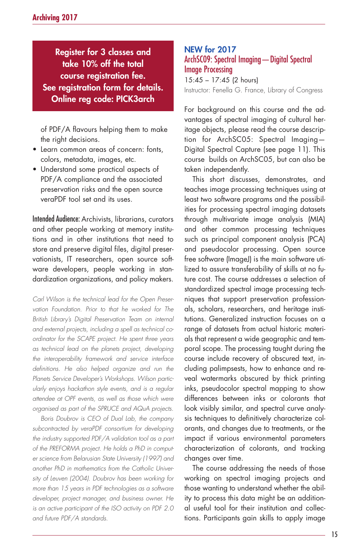**Register for 3 classes and take 10% off the total course registration fee. See registration form for details. Online reg code: PICK3arch**

of PDF/A flavours helping them to make the right decisions.

- Learn common areas of concern: fonts, colors, metadata, images, etc.
- Understand some practical aspects of PDF/A compliance and the associated preservation risks and the open source veraPDF tool set and its uses.

Intended Audience: Archivists, librarians, curators and other people working at memory institutions and in other institutions that need to store and preserve digital files, digital preservationists, IT researchers, open source software developers, people working in standardization organizations, and policy makers.

*Carl Wilson is the technical lead for the Open Preservation Foundation. Prior to that he worked for The British Library's Digital Preservation Team on internal and external projects, including a spell as technical coordinator for the SCAPE project. He spent three years as technical lead on the planets project, developing the interoperability framework and service interface definitions. He also helped organize and run the Planets Service Developer's Workshops. Wilson particularly enjoys hackathon style events, and is a regular attendee at OPF events, as well as those which were organised as part of the SPRUCE and AQuA projects.*

*Boris Doubrov is CEO of Dual Lab, the company subcontracted by veraPDF consortium for developing the industry supported PDF/A validation tool as a part of the PREFORMA project. He holds a PhD in computer science from Belarusian State University (1997) and another PhD in mathematics from the Catholic University of Leuven (2004). Doubrov has been working for more than 15 years in PDF technologies as a software developer, project manager, and business owner. He is an active participant of the ISO activity on PDF 2.0 and future PDF/A standards.*

### **NEW for 2017** ArchSC09: Spectral Imaging—Digital Spectral Image Processing 15:45 – 17:45 (2 hours)

Instructor: Fenella G. France, Library of Congress

For background on this course and the advantages of spectral imaging of cultural heritage objects, please read the course description for ArchSC05: Spectral Imaging— Digital Spectral Capture (see page 11). This course builds on ArchSC05, but can also be taken independently.

This short discusses, demonstrates, and teaches image processing techniques using at least two software programs and the possibilities for processing spectral imaging datasets through multivariate image analysis (MIA) and other common processing techniques such as principal component analysis (PCA) and pseudocolor processing. Open source free software (ImageJ) is the main software utilized to assure transferability of skills at no future cost. The course addresses a selection of standardized spectral image processing techniques that support preservation professionals, scholars, researchers, and heritage institutions. Generalized instruction focuses on a range of datasets from actual historic materials that represent a wide geographic and temporal scope. The processing taught during the course include recovery of obscured text, including palimpsests, how to enhance and reveal watermarks obscured by thick printing inks, pseudocolor spectral mapping to show differences between inks or colorants that look visibly similar, and spectral curve analysis techniques to definitively characterize colorants, and changes due to treatments, or the impact if various environmental parameters characterization of colorants, and tracking changes over time.

The course addressing the needs of those working on spectral imaging projects and those wanting to understand whether the ability to process this data might be an additional useful tool for their institution and collections. Participants gain skills to apply image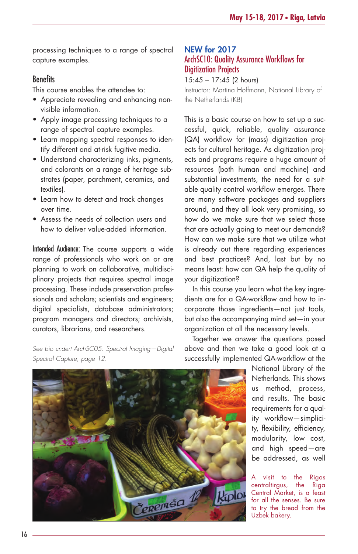processing techniques to a range of spectral capture examples.

### **Benefits**

This course enables the attendee to:

- Appreciate revealing and enhancing nonvisible information.
- Apply image processing techniques to a range of spectral capture examples.
- Learn mapping spectral responses to identify different and at-risk fugitive media.
- Understand characterizing inks, pigments, and colorants on a range of heritage substrates (paper, parchment, ceramics, and textiles).
- Learn how to detect and track changes over time.
- Assess the needs of collection users and how to deliver value-added information.

Intended Audience: The course supports a wide range of professionals who work on or are planning to work on collaborative, multidisciplinary projects that requires spectral image processing. These include preservation professionals and scholars; scientists and engineers; digital specialists, database administrators; program managers and directors; archivists, curators, librarians, and researchers.

*See bio undert ArchSC05: Spectral Imaging—Digital Spectral Capture, page 12.*

### **NEW for 2017** ArchSC10: Quality Assurance Workflows for Digitization Projects

15:45 – 17:45 (2 hours)

Instructor: Martina Hoffmann, National Library of the Netherlands (KB)

This is a basic course on how to set up a successful, quick, reliable, quality assurance (QA) workflow for (mass) digitization projects for cultural heritage. As digitization projects and programs require a huge amount of resources (both human and machine) and substantial investments, the need for a suitable quality control workflow emerges. There are many software packages and suppliers around, and they all look very promising, so how do we make sure that we select those that are actually going to meet our demands? How can we make sure that we utilize what is already out there regarding experiences and best practices? And, last but by no means least: how can QA help the quality of your digitization?

In this course you learn what the key ingredients are for a QA-workflow and how to incorporate those ingredients—not just tools, but also the accompanying mind set—in your organization at all the necessary levels.

Together we answer the questions posed above and then we take a good look at a successfully implemented QA-workflow at the

> National Library of the Netherlands. This shows us method, process, and results. The basic requirements for a quality workflow—simplicity, flexibility, efficiency, modularity, low cost, and high speed—are be addressed, as well

visit to the Rigas centraltirgus, the Riga Central Market, is a feast for all the senses. Be sure to try the bread from the Uzbek bakery.

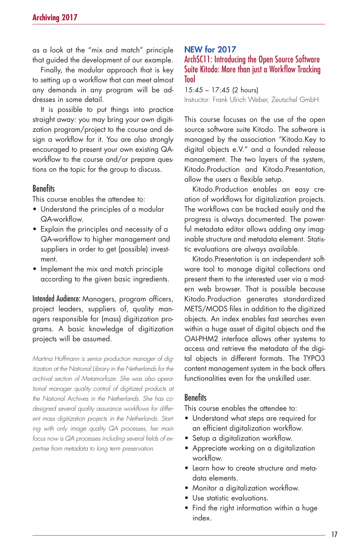as a look at the "mix and match" principle that guided the development of our example.

Finally, the modular approach that is key to setting up a workflow that can meet almost any demands in any program will be addresses in some detail.

It is possible to put things into practice straight away: you may bring your own digitization program/project to the course and design a workflow for it. You are also strongly encouraged to present your own existing QAworkflow to the course and/or prepare questions on the topic for the group to discuss.

#### **Benefits**

This course enables the attendee to:

- Understand the principles of a modular QA-workflow.
- Explain the principles and necessity of a QA-workflow to higher management and suppliers in order to get (possible) investment.
- Implement the mix and match principle according to the given basic ingredients.

Intended Audience: Managers, program officers, project leaders, suppliers of, quality managers responsible for (mass) digitization programs. A basic knowledge of digitization projects will be assumed.

*Martina Hoffmann is senior production manager of digitization at the National Library in the Netherlands for the archival section of Metamorfoze. She was also operational manager quality control of digitized products at the National Archives in the Netherlands. She has codesigned several quality assurance workflows for different mass digitization projects in the Netherlands. Starting with only image quality QA processes, her main focus now is QA processes including several fields of expertise from metadata to long term preservation.*

### **NEW for 2017**

### ArchSC11: Introducing the Open Source Software Suite Kitodo: More than just a Workflow Tracking Tool

15:45 – 17:45 (2 hours) Instructor: Frank Ulrich Weber, Zeutschel GmbH

This course focuses on the use of the open source software suite Kitodo. The software is managed by the association "Kitodo.Key to digital objects e.V." and a founded release management. The two layers of the system, Kitodo.Production and Kitodo.Presentation, allow the users a flexible setup.

Kitodo.Production enables an easy creation of workflows for digitalization projects. The workflows can be tracked easily and the progress is always documented. The powerful metadata editor allows adding any imaginable structure and metadata element. Statistic evaluations are always available.

Kitodo.Presentation is an independent software tool to manage digital collections and present them to the interested user via a modern web browser. That is possible because Kitodo.Production generates standardized METS/MODS files in addition to the digitized objects. An index enables fast searches even within a huge asset of digital objects and the OAI-PHM2 interface allows other systems to access and retrieve the metadata of the digital objects in different formats. The TYPO3 content management system in the back offers functionalities even for the unskilled user.

### **Benefits**

This course enables the attendee to:

- Understand what steps are required for an efficient digitalization workflow.
- Setup a digitalization workflow.
- Appreciate working on a digitalization workflow.
- Learn how to create structure and metadata elements.
- Monitor a digitalization workflow.
- Use statistic evaluations.
- Find the right information within a huge index.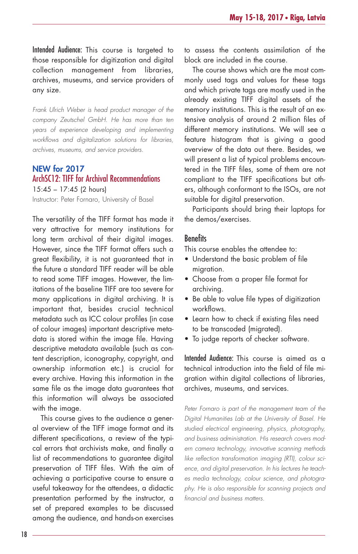Intended Audience: This course is targeted to those responsible for digitization and digital collection management from libraries, archives, museums, and service providers of any size.

*Frank Ulrich Weber is head product manager of the company Zeutschel GmbH. He has more than ten years of experience developing and implementing workflows and digitalization solutions for libraries, archives, museums, and service providers.*

### **NEW for 2017**

### ArchSC12: TIFF for Archival Recommendations

15:45 – 17:45 (2 hours) Instructor: Peter Fornaro, University of Basel

The versatility of the TIFF format has made it very attractive for memory institutions for long term archival of their digital images. However, since the TIFF format offers such a great flexibility, it is not guaranteed that in the future a standard TIFF reader will be able to read some TIFF images. However, the limitations of the baseline TIFF are too severe for many applications in digital archiving. It is important that, besides crucial technical metadata such as ICC colour profiles (in case of colour images) important descriptive metadata is stored within the image file. Having descriptive metadata available (such as content description, iconography, copyright, and ownership information etc.) is crucial for every archive. Having this information in the same file as the image data guarantees that this information will always be associated with the image.

This course gives to the audience a general overview of the TIFF image format and its different specifications, a review of the typical errors that archivists make, and finally a list of recommendations to guarantee digital preservation of TIFF files. With the aim of achieving a participative course to ensure a useful takeaway for the attendees, a didactic presentation performed by the instructor, a set of prepared examples to be discussed among the audience, and hands-on exercises to assess the contents assimilation of the block are included in the course.

The course shows which are the most commonly used tags and values for these tags and which private tags are mostly used in the already existing TIFF digital assets of the memory institutions. This is the result of an extensive analysis of around 2 million files of different memory institutions. We will see a feature histogram that is giving a good overview of the data out there. Besides, we will present a list of typical problems encountered in the TIFF files, some of them are not compliant to the TIFF specifications but others, although conformant to the ISOs, are not suitable for digital preservation.

Participants should bring their laptops for the demos/exercises.

#### Benefits

This course enables the attendee to:

- Understand the basic problem of file migration.
- Choose from a proper file format for archiving.
- Be able to value file types of digitization workflows.
- Learn how to check if existing files need to be transcoded (migrated).
- To judge reports of checker software.

Intended Audience: This course is aimed as a technical introduction into the field of file migration within digital collections of libraries, archives, museums, and services.

*Peter Fornaro is part of the management team of the Digital Humanities Lab at the University of Basel. He studied electrical engineering, physics, photography, and business administration. His research covers modern camera technology, innovative scanning methods like reflection transformation imaging (RTI), colour science, and digital preservation. In his lectures he teaches media technology, colour science, and photography. He is also responsible for scanning projects and financial and business matters.*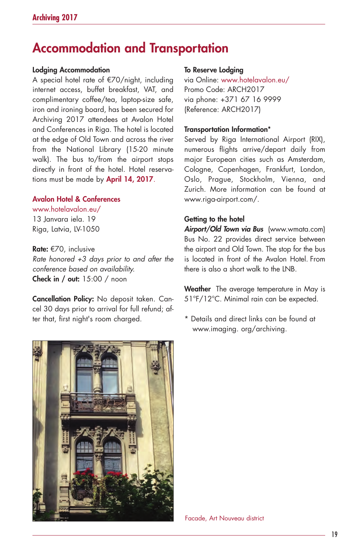# **Accommodation and Transportation**

#### **Lodging Accommodation**

A special hotel rate of €70/night, including internet access, buffet breakfast, VAT, and complimentary coffee/tea, laptop-size safe, iron and ironing board, has been secured for Archiving 2017 attendees at Avalon Hotel and Conferences in Riga. The hotel is located at the edge of Old Town and across the river from the National Library (15-20 minute walk). The bus to/from the airport stops directly in front of the hotel. Hotel reservations must be made by **April 14, 2017**.

### **Avalon Hotel & Conferences**

#### www.hotelavalon.eu/ 13 Janvara iela. 19

Riga, Latvia, LV-1050

**Rate:** €70, inclusive *Rate honored +3 days prior to and after the conference based on availability.* **Check in / out:** 15:00 / noon

**Cancellation Policy:** No deposit taken. Cancel 30 days prior to arrival for full refund; after that, first night's room charged.

#### **To Reserve Lodging**

via Online: www.hotelavalon.eu/ Promo Code: ARCH2017 via phone: +371 67 16 9999 (Reference: ARCH2017)

#### **Transportation Information\***

Served by Riga International Airport (RIX), numerous flights arrive/depart daily from major European cities such as Amsterdam, Cologne, Copenhagen, Frankfurt, London, Oslo, Prague, Stockholm, Vienna, and Zurich. More information can be found at www.riga-airport.com/.

### **Getting to the hotel**

*Airport/Old Town via Bus* (www.wmata.com) Bus No. 22 provides direct service between the airport and Old Town. The stop for the bus is located in front of the Avalon Hotel. From there is also a short walk to the LNB.

**Weather** The average temperature in May is 51°F/12°C. Minimal rain can be expected.

\* Details and direct links can be found at www.imaging. org/archiving.



Facade, Art Nouveau district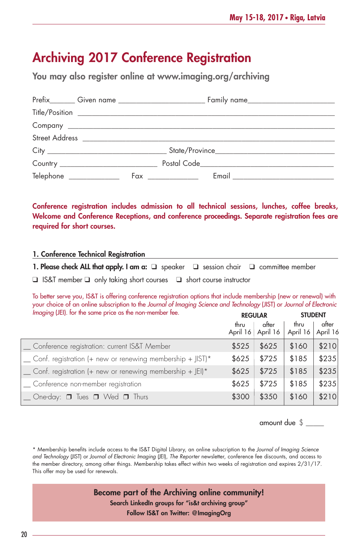# **Archiving 2017 Conference Registration**

**You may also register online at www.imaging.org/archiving**

| Telephone ________________ | $Fax \ \underline{\hspace{2cm}}$ |  |
|----------------------------|----------------------------------|--|

**Conference registration includes admission to all technical sessions, lunches, coffee breaks, Welcome and Conference Receptions, and conference proceedings. Separate registration fees are required for short courses.**

### **1. Conference Technical Registration**

**1. Please check ALL that apply. I am a:** □ speaker □ session chair □ committee member

❑ IS&T member ❑ only taking short courses ❑ short course instructor

To better serve you, IS&T is offering conference registration options that include membership (new or renewal) with your choice of an online subscription to the *Journal of Imaging Science and Technology* (JIST) or *Journal of Electronic Imaging* (JEI). for the same price as the non-member fee. **REGULAR STUDENT**

|                                                                 | <b>KEUULAK</b> |                            |                           | <b>SIUDENI</b> |  |
|-----------------------------------------------------------------|----------------|----------------------------|---------------------------|----------------|--|
|                                                                 | thru           | after<br>April 16 April 16 | thru<br>April 16 April 16 | after          |  |
| _ Conference registration: current IS&T Member                  | \$525          | \$625                      | \$160                     | \$210          |  |
| Conf. registration (+ new or renewing membership + JIST)*       | \$625          | \$725                      | \$185                     | \$235          |  |
| $\Box$ Conf. registration (+ new or renewing membership + JEI)* | \$625          | \$725                      | \$185                     | \$235          |  |
| _ Conference non-member registration                            | \$625          | \$725                      | \$185                     | \$235          |  |
| <u></u> One-day: □ Tues □ Wed □ Thurs                           | \$300          | \$350                      | \$160                     | \$210          |  |

amount due \$ \_\_\_\_\_

\* Membership benefits include access to the IS&T Digital Library, an online subscription to the *Journal of Imaging Science and Technology* (JIST) or *Journal of Electronic Imaging* (JEI), *The Reporter* newsletter, conference fee discounts, and access to the member directory, among other things. Membership takes effect within two weeks of registration and expires 2/31/17. This offer may be used for renewals.

> **Become part of the Archiving online community! Search LinkedIn groups for "is&t archiving group" Follow IS&T on Twitter: @ImagingOrg**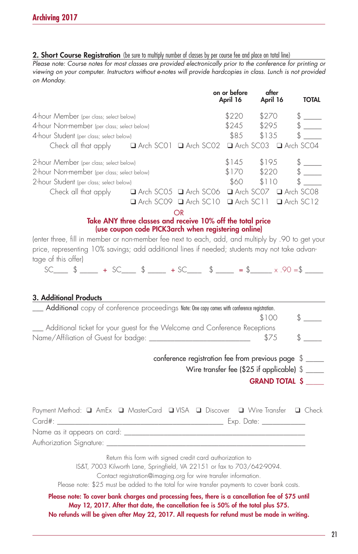#### 2. Short Course Registration (be sure to multiply number of classes by per course fee and place on total line)

*Please note: Course notes for most classes are provided electronically prior to the conference for printing or viewing on your computer. Instructors without e-notes will provide hardcopies in class. Lunch is not provided on Monday.*

|                                             |                                                                     | on or before<br>April 16 | after<br>April 16 | <b>TOTAL</b> |
|---------------------------------------------|---------------------------------------------------------------------|--------------------------|-------------------|--------------|
| 4-hour Member (per class; select below)     |                                                                     | \$220                    | \$270             |              |
| 4-hour Non-member (per class; select below) |                                                                     | \$245                    | \$295             |              |
| 4-hour Student (per class; select below)    |                                                                     | \$85                     | \$135             |              |
| Check all that apply                        | $\Box$ Arch SCO1 $\Box$ Arch SCO2 $\Box$ Arch SCO3 $\Box$ Arch SCO4 |                          |                   |              |
| 2-hour Member (per class; select below)     |                                                                     | \$145                    | \$195             |              |
| 2-hour Non-member (per class; select below) |                                                                     | \$170                    | \$220             |              |
| 2-hour Student (per class; select below)    |                                                                     | \$60                     | \$110             |              |
| Check all that apply                        | $\Box$ Arch SCO5 $\Box$ Arch SCO6 $\Box$ Arch SCO7 $\Box$ Arch SCO8 |                          |                   |              |
|                                             | $\Box$ Arch SCO9 $\Box$ Arch SC10 $\Box$ Arch SC11 $\Box$ Arch SC12 |                          |                   |              |
|                                             |                                                                     |                          |                   |              |

### **Take ANY three classes and receive 10% off the total price (use coupon code PICK3arch when registering online)**

(enter three, fill in member or non-member fee next to each, add, and multiply by .90 to get your price, representing 10% savings; add additional lines if needed; students may not take advantage of this offer)

SC  $\text{\$}$   $\text{\$}$   $\text{\$}$   $\text{\$}$   $\text{\$}$   $\text{\$}$   $\text{\$}$   $\text{\$}$   $\text{\$}$   $\text{\$}$   $\text{\$}$   $\text{\$}$   $\text{\$}$   $\text{\$}$   $\text{\$}$   $\text{\$}$   $\text{\$}$   $\text{\$}$   $\text{\$}$   $\text{\$}$   $\text{\$}$   $\text{\$}$   $\text{\$}$   $\text{\$}$   $\text{\$}$   $\text{\$}$   $\text{\$}$   $\$ 

### **3. Additional Products**

| Additional copy of conference proceedings Note: One copy comes with conference registration.                                                                                                                                                                                                            |       |                                 |
|---------------------------------------------------------------------------------------------------------------------------------------------------------------------------------------------------------------------------------------------------------------------------------------------------------|-------|---------------------------------|
|                                                                                                                                                                                                                                                                                                         | \$100 | $\mathcal{S}$ and $\mathcal{S}$ |
| __ Additional ticket for your guest for the Welcome and Conference Receptions                                                                                                                                                                                                                           |       |                                 |
|                                                                                                                                                                                                                                                                                                         | \$75  |                                 |
| conference registration fee from previous page \$                                                                                                                                                                                                                                                       |       |                                 |
| Wire transfer fee (\$25 if applicable) $\frac{1}{2}$ ______                                                                                                                                                                                                                                             |       |                                 |
|                                                                                                                                                                                                                                                                                                         |       | <b>GRAND TOTAL \$</b>           |
| Payment Method: Q AmEx Q MasterCard Q VISA Q Discover Q Wire Transfer Q Check                                                                                                                                                                                                                           |       |                                 |
|                                                                                                                                                                                                                                                                                                         |       |                                 |
|                                                                                                                                                                                                                                                                                                         |       |                                 |
| Return this form with signed credit card authorization to<br>IS&T, 7003 Kilworth Lane, Springfield, VA 22151 or fax to 703/642-9094.<br>Contact registration@imaging.org for wire transfer information.<br>Please note: \$25 must be added to the total for wire transfer payments to cover bank costs. |       |                                 |
| Please note: To cover bank charges and processing fees, there is a cancellation fee of \$75 until<br>May 12, 2017. After that date, the cancellation fee is 50% of the total plus \$75.                                                                                                                 |       |                                 |

**May 12, 2017. After that date, the cancellation fee is 50% of the total plus \$75. No refunds will be given after May 22, 2017. All requests for refund must be made in writing.**